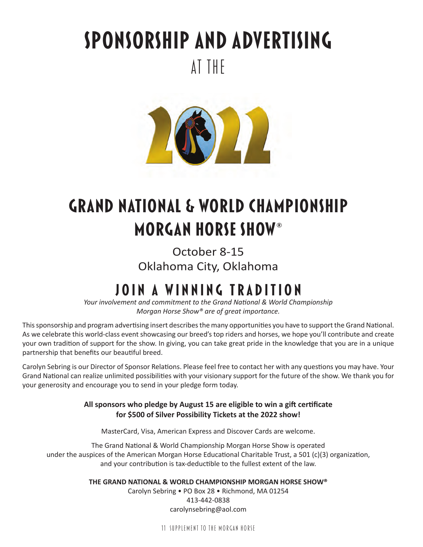# **Sponsorship and Advertising**at the



## **Grand National & World ChampionshipMorgan Horse Show®**

October 8-15 Oklahoma City, Oklahoma

### **JOIN A WINNING TRADITION**

*Your involvement and commitment to the Grand National & World Championship Morgan Horse Show® are of great importance.*

This sponsorship and program advertising insert describes the many opportunities you have to support the Grand National. As we celebrate this world-class event showcasing our breed's top riders and horses, we hope you'll contribute and create your own tradition of support for the show. In giving, you can take great pride in the knowledge that you are in a unique partnership that benefits our beautiful breed.

Carolyn Sebring is our Director of Sponsor Relations. Please feel free to contact her with any questions you may have. Your Grand National can realize unlimited possibilities with your visionary support for the future of the show. We thank you for your generosity and encourage you to send in your pledge form today.

#### All sponsors who pledge by August 15 are eligible to win a gift certificate **for \$500 of Silver Possibility Tickets at the 2022 show!**

MasterCard, Visa, American Express and Discover Cards are welcome.

The Grand National & World Championship Morgan Horse Show is operated under the auspices of the American Morgan Horse Educational Charitable Trust, a 501 (c)(3) organization, and your contribution is tax-deductible to the fullest extent of the law.

**THE GRAND NATIONAL & WORLD CHAMPIONSHIP MORGAN HORSE SHOW®**

Carolyn Sebring • PO Box 28 • Richmond, MA 01254 413-442-0838 carolynsebring@aol.com

11 SUPPLEMENT TO THE MORGAN HORSE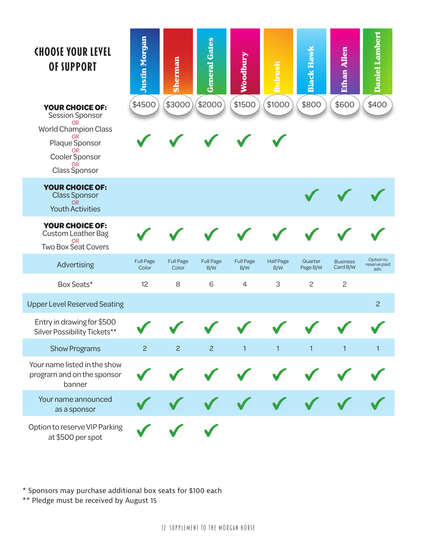| <b>CHOOSE YOUR LEVEL</b><br>OF SUPPORT<br><b>YOUR CHOICE OF:</b><br>Session Sponsor<br><b>OR</b><br><b>World Champion Class</b><br>OR<br>Plaque Sponsor<br>0R | <b>Justin Morgan</b><br>\$4500 | <b>Sherman</b><br>\$3000  | <b>General Gates</b><br>\$2000 | Voodbury<br>\$1500      | nlrush<br>\$1000        | <b>Black Hawk</b><br>\$800 | Ethan Allen<br>\$600        | <b>Daniel Lambert</b><br>\$400    |
|---------------------------------------------------------------------------------------------------------------------------------------------------------------|--------------------------------|---------------------------|--------------------------------|-------------------------|-------------------------|----------------------------|-----------------------------|-----------------------------------|
| Cooler Sponsor<br><b>OR</b><br><b>Class Sponsor</b>                                                                                                           |                                |                           |                                |                         |                         |                            |                             |                                   |
| <b>YOUR CHOICE OF:</b><br><b>Class Sponsor</b><br>OR.<br><b>Youth Activities</b>                                                                              |                                |                           |                                |                         |                         |                            |                             |                                   |
| <b>YOUR CHOICE OF:</b><br><b>Custom Leather Bag</b><br><b>OR</b><br><b>Two Box Seat Covers</b>                                                                |                                |                           |                                |                         |                         |                            |                             |                                   |
| Advertising                                                                                                                                                   | <b>Full Page</b><br>Color      | <b>Full Page</b><br>Color | <b>Full Page</b><br>B/W        | <b>Full Page</b><br>B/W | <b>Half Page</b><br>B/W | Quarter<br>Page B/W        | <b>Business</b><br>Card B/W | Option to<br>reserve paid<br>adv. |
| Box Seats*                                                                                                                                                    | 12                             | 8                         | 6                              | 4                       | 3                       | $\overline{c}$             | $\mathbf{2}$                |                                   |
| <b>Upper Level Reserved Seating</b>                                                                                                                           |                                |                           |                                |                         |                         |                            |                             | $\overline{c}$                    |
| Entry in drawing for \$500<br>Silver Possibility Tickets**                                                                                                    |                                |                           |                                |                         |                         |                            |                             |                                   |
| <b>Show Programs</b>                                                                                                                                          | 2 <sup>1</sup>                 | $\overline{2}$            | $\overline{2}$                 | $\mathbf{1}$            | $\mathbf{1}$            | $\mathbf{1}$               | $\mathbf{1}$                | $\mathbf{1}$                      |
| Your name listed in the show<br>program and on the sponsor<br>banner                                                                                          |                                |                           |                                |                         |                         |                            |                             |                                   |
| Your name announced<br>as a sponsor                                                                                                                           |                                |                           |                                |                         |                         |                            |                             |                                   |
| Option to reserve VIP Parking<br>at \$500 per spot                                                                                                            |                                |                           |                                |                         |                         |                            |                             |                                   |

\* Sponsors may purchase additional box seats for \$100 each

\*\* Pledge must be received by August 15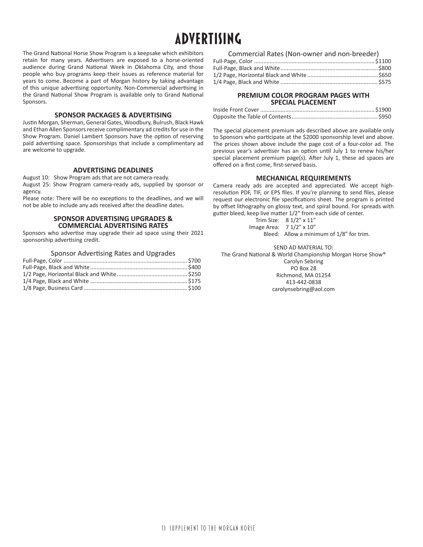### **ADVERTISING**

The Grand National Horse Show Program is a keepsake which exhibitors retain for many years. Advertisers are exposed to a horse-oriented audience during Grand National Week in Oklahoma City, and those people who buy programs keep their issues as reference material for years to come. Become a part of Morgan history by taking advantage of this unique advertising opportunity. Non-Commercial advertising in the Grand National Show Program is available only to Grand National Sponsors.

#### **SPONSOR PACKAGES & ADVERTISING**

Justin Morgan, Sherman, General Gates, Woodbury, Bulrush, Black Hawk and Ethan Allen Sponsors receive complimentary ad credits for use in the Show Program. Daniel Lambert Sponsors have the option of reserving paid advertising space. Sponsorships that include a complimentary ad are welcome to upgrade.

#### **ADVERTISING DEADLINES**

August 10: Show Program ads that are not camera-ready. August 25: Show Program camera-ready ads, supplied by sponsor or agency.

Please note: There will be no exceptions to the deadlines, and we will not be able to include any ads received after the deadline dates.

#### **SPONSOR ADVERTISING UPGRADES & COMMERCIAL ADVERTISING RATES**

Sponsors who advertise may upgrade their ad space using their 2021 sponsorship advertising credit.

#### Sponsor Advertising Rates and Upgrades

| Commercial Rates (Non-owner and non-breeder) |  |
|----------------------------------------------|--|
|                                              |  |
|                                              |  |
|                                              |  |
|                                              |  |

#### **PREMIUM COLOR PROGRAM PAGES WITH SPECIAL PLACEMENT**

The special placement premium ads described above are available only to Sponsors who participate at the \$2000 sponsorship level and above. The prices shown above include the page cost of a four-color ad. The previous year's advertiser has an option until July 1 to renew his/her special placement premium page(s). After July 1, these ad spaces are offered on a first come, first-served basis.

#### **MECHANICAL REQUIREMENTS**

Camera ready ads are accepted and appreciated. We accept highresolution PDF, TIF, or EPS files. If you're planning to send files, please request our electronic file specifications sheet. The program is printed by offset lithography on glossy text, and spiral bound. For spreads with gutter bleed, keep live matter 1/2" from each side of center.

> Trim Size: 8 1/2" x 11" Image Area: 7 1/2" x 10" Bleed: Allow a minimum of 1/8" for trim.

> > SEND AD MATERIAL TO:

The Grand National & World Championship Morgan Horse Show®

Carolyn Sebring PO Box 28 Richmond, MA 01254 413-442-0838 carolynsebring@aol.com